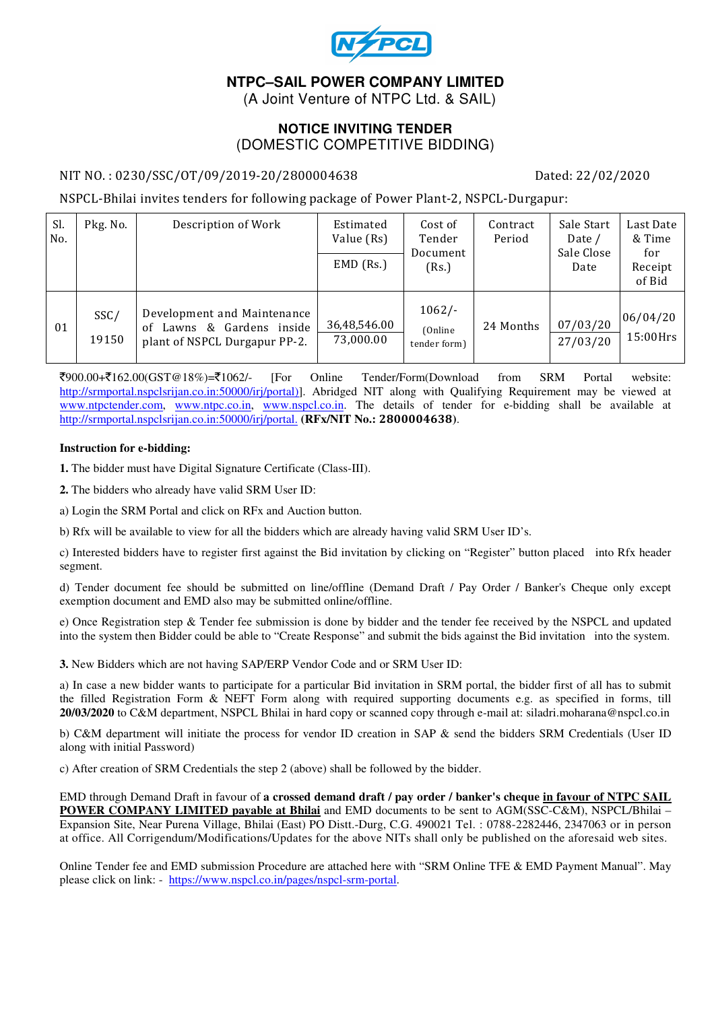

# **NTPC–SAIL POWER COMPANY LIMITED**

(A Joint Venture of NTPC Ltd. & SAIL)

#### **NOTICE INVITING TENDER**  (DOMESTIC COMPETITIVE BIDDING)

#### NIT NO. : 0230/SSC/OT/09/2019-20/2800004638 Dated: 22/02/2020

NSPCL-Bhilai invites tenders for following package of Power Plant-2, NSPCL-Durgapur:

| Sl.<br>No. | Pkg. No.      | Description of Work                                                                       | Estimated<br>Value (Rs)<br>$EMD$ (Rs.) | Cost of<br>Tender<br>Document<br>(Rs.) | Contract<br>Period | Sale Start<br>Date /<br>Sale Close<br>Date | Last Date<br>& Time<br>for<br>Receipt<br>of Bid |
|------------|---------------|-------------------------------------------------------------------------------------------|----------------------------------------|----------------------------------------|--------------------|--------------------------------------------|-------------------------------------------------|
| 01         | SSC/<br>19150 | Development and Maintenance<br>of Lawns & Gardens inside<br>plant of NSPCL Durgapur PP-2. | 36,48,546.00<br>73,000.00              | $1062/-$<br>(Online)<br>tender form)   | 24 Months          | 07/03/20<br>27/03/20                       | 06/04/20<br>$15:00$ Hrs                         |

 $\frac{1}{2}900.00+\frac{1}{2}162.00(GST@18%) = \frac{1}{2}1062/2$  [For Online Tender/Form(Download from SRM Portal website: http://srmportal.nspclsrijan.co.in:50000/irj/portal)]. Abridged NIT along with Qualifying Requirement may be viewed at www.ntpctender.com, www.ntpc.co.in, www.nspcl.co.in. The details of tender for e-bidding shall be available at http://srmportal.nspclsrijan.co.in:50000/irj/portal. **(RFx/NIT No.:** 2800004638**)**.

#### **Instruction for e-bidding:**

**1.** The bidder must have Digital Signature Certificate (Class-III).

**2.** The bidders who already have valid SRM User ID:

a) Login the SRM Portal and click on RFx and Auction button.

b) Rfx will be available to view for all the bidders which are already having valid SRM User ID's.

c) Interested bidders have to register first against the Bid invitation by clicking on "Register" button placed into Rfx header segment.

d) Tender document fee should be submitted on line/offline (Demand Draft / Pay Order / Banker's Cheque only except exemption document and EMD also may be submitted online/offline.

e) Once Registration step & Tender fee submission is done by bidder and the tender fee received by the NSPCL and updated into the system then Bidder could be able to "Create Response" and submit the bids against the Bid invitation into the system.

**3.** New Bidders which are not having SAP/ERP Vendor Code and or SRM User ID:

a) In case a new bidder wants to participate for a particular Bid invitation in SRM portal, the bidder first of all has to submit the filled Registration Form & NEFT Form along with required supporting documents e.g. as specified in forms, till **20/03/2020** to C&M department, NSPCL Bhilai in hard copy or scanned copy through e-mail at: siladri.moharana@nspcl.co.in

b) C&M department will initiate the process for vendor ID creation in SAP & send the bidders SRM Credentials (User ID along with initial Password)

c) After creation of SRM Credentials the step 2 (above) shall be followed by the bidder.

EMD through Demand Draft in favour of **a crossed demand draft / pay order / banker's cheque in favour of NTPC SAIL POWER COMPANY LIMITED payable at Bhilai** and EMD documents to be sent to AGM(SSC-C&M), NSPCL/Bhilai – Expansion Site, Near Purena Village, Bhilai (East) PO Distt.-Durg, C.G. 490021 Tel. : 0788-2282446, 2347063 or in person at office. All Corrigendum/Modifications/Updates for the above NITs shall only be published on the aforesaid web sites.

Online Tender fee and EMD submission Procedure are attached here with "SRM Online TFE & EMD Payment Manual". May please click on link: - https://www.nspcl.co.in/pages/nspcl-srm-portal.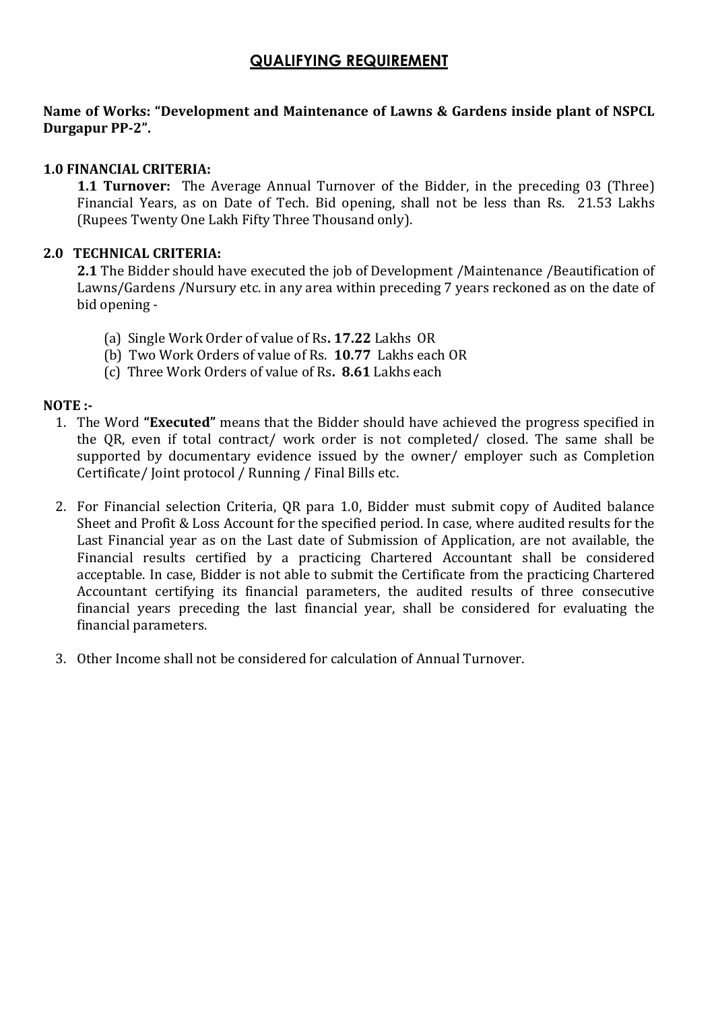# QUALIFYING REQUIREMENT

#### Name of Works: "Development and Maintenance of Lawns & Gardens inside plant of NSPCL Durgapur PP-2".

## 1.0 FINANCIAL CRITERIA:

1.1 Turnover: The Average Annual Turnover of the Bidder, in the preceding 03 (Three) Financial Years, as on Date of Tech. Bid opening, shall not be less than Rs. 21.53 Lakhs (Rupees Twenty One Lakh Fifty Three Thousand only).

## 2.0 TECHNICAL CRITERIA:

2.1 The Bidder should have executed the job of Development /Maintenance /Beautification of Lawns/Gardens /Nursury etc. in any area within preceding 7 years reckoned as on the date of bid opening -

- (a) Single Work Order of value of Rs. 17.22 Lakhs OR
- (b) Two Work Orders of value of Rs. 10.77 Lakhs each OR
- (c) Three Work Orders of value of Rs. 8.61 Lakhs each

## NOTE :-

- 1. The Word "Executed" means that the Bidder should have achieved the progress specified in the QR, even if total contract/ work order is not completed/ closed. The same shall be supported by documentary evidence issued by the owner/ employer such as Completion Certificate/ Joint protocol / Running / Final Bills etc.
- 2. For Financial selection Criteria, QR para 1.0, Bidder must submit copy of Audited balance Sheet and Profit & Loss Account for the specified period. In case, where audited results for the Last Financial year as on the Last date of Submission of Application, are not available, the Financial results certified by a practicing Chartered Accountant shall be considered acceptable. In case, Bidder is not able to submit the Certificate from the practicing Chartered Accountant certifying its financial parameters, the audited results of three consecutive financial years preceding the last financial year, shall be considered for evaluating the financial parameters.
- 3. Other Income shall not be considered for calculation of Annual Turnover.